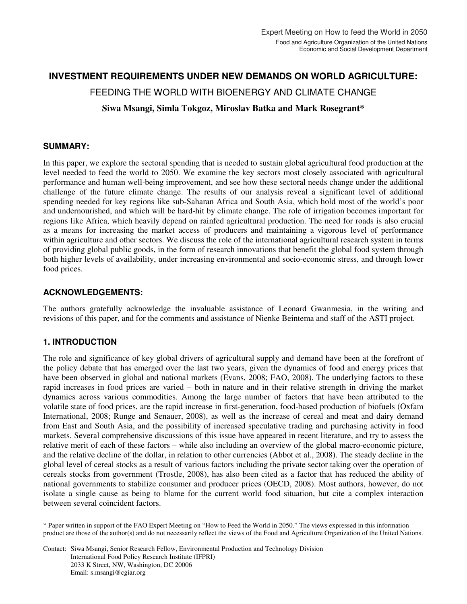## **INVESTMENT REQUIREMENTS UNDER NEW DEMANDS ON WORLD AGRICULTURE:**

FEEDING THE WORLD WITH BIOENERGY AND CLIMATE CHANGE

**Siwa Msangi, Simla Tokgoz, Miroslav Batka and Mark Rosegrant\*** 

### **SUMMARY:**

In this paper, we explore the sectoral spending that is needed to sustain global agricultural food production at the level needed to feed the world to 2050. We examine the key sectors most closely associated with agricultural performance and human well-being improvement, and see how these sectoral needs change under the additional challenge of the future climate change. The results of our analysis reveal a significant level of additional spending needed for key regions like sub-Saharan Africa and South Asia, which hold most of the world's poor and undernourished, and which will be hard-hit by climate change. The role of irrigation becomes important for regions like Africa, which heavily depend on rainfed agricultural production. The need for roads is also crucial as a means for increasing the market access of producers and maintaining a vigorous level of performance within agriculture and other sectors. We discuss the role of the international agricultural research system in terms of providing global public goods, in the form of research innovations that benefit the global food system through both higher levels of availability, under increasing environmental and socio-economic stress, and through lower food prices.

### **ACKNOWLEDGEMENTS:**

The authors gratefully acknowledge the invaluable assistance of Leonard Gwanmesia, in the writing and revisions of this paper, and for the comments and assistance of Nienke Beintema and staff of the ASTI project.

### **1. INTRODUCTION**

The role and significance of key global drivers of agricultural supply and demand have been at the forefront of the policy debate that has emerged over the last two years, given the dynamics of food and energy prices that have been observed in global and national markets (Evans, 2008; FAO, 2008). The underlying factors to these rapid increases in food prices are varied – both in nature and in their relative strength in driving the market dynamics across various commodities. Among the large number of factors that have been attributed to the volatile state of food prices, are the rapid increase in first-generation, food-based production of biofuels (Oxfam International, 2008; Runge and Senauer, 2008), as well as the increase of cereal and meat and dairy demand from East and South Asia, and the possibility of increased speculative trading and purchasing activity in food markets. Several comprehensive discussions of this issue have appeared in recent literature, and try to assess the relative merit of each of these factors – while also including an overview of the global macro-economic picture, and the relative decline of the dollar, in relation to other currencies (Abbot et al., 2008). The steady decline in the global level of cereal stocks as a result of various factors including the private sector taking over the operation of cereals stocks from government (Trostle, 2008), has also been cited as a factor that has reduced the ability of national governments to stabilize consumer and producer prices (OECD, 2008). Most authors, however, do not isolate a single cause as being to blame for the current world food situation, but cite a complex interaction between several coincident factors.

\* Paper written in support of the FAO Expert Meeting on "How to Feed the World in 2050." The views expressed in this information product are those of the author(s) and do not necessarily reflect the views of the Food and Agriculture Organization of the United Nations.

Contact: Siwa Msangi, Senior Research Fellow, Environmental Production and Technology Division International Food Policy Research Institute (IFPRI) 2033 K Street, NW, Washington, DC 20006 Email: s.msangi@cgiar.org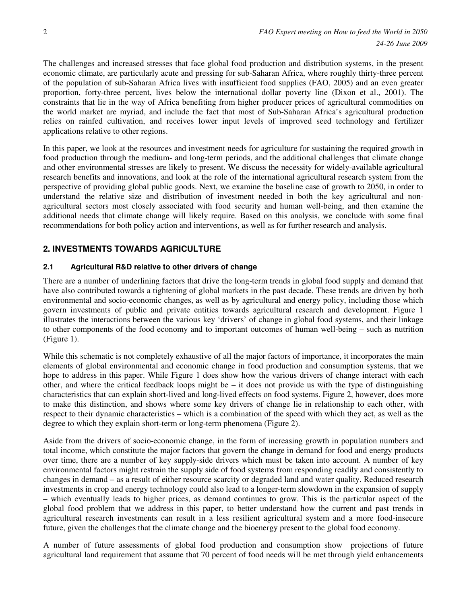The challenges and increased stresses that face global food production and distribution systems, in the present economic climate, are particularly acute and pressing for sub-Saharan Africa, where roughly thirty-three percent of the population of sub-Saharan Africa lives with insufficient food supplies (FAO, 2005) and an even greater proportion, forty-three percent, lives below the international dollar poverty line (Dixon et al., 2001). The constraints that lie in the way of Africa benefiting from higher producer prices of agricultural commodities on the world market are myriad, and include the fact that most of Sub-Saharan Africa's agricultural production relies on rainfed cultivation, and receives lower input levels of improved seed technology and fertilizer applications relative to other regions.

In this paper, we look at the resources and investment needs for agriculture for sustaining the required growth in food production through the medium- and long-term periods, and the additional challenges that climate change and other environmental stresses are likely to present. We discuss the necessity for widely-available agricultural research benefits and innovations, and look at the role of the international agricultural research system from the perspective of providing global public goods. Next, we examine the baseline case of growth to 2050, in order to understand the relative size and distribution of investment needed in both the key agricultural and nonagricultural sectors most closely associated with food security and human well-being, and then examine the additional needs that climate change will likely require. Based on this analysis, we conclude with some final recommendations for both policy action and interventions, as well as for further research and analysis.

## **2. INVESTMENTS TOWARDS AGRICULTURE**

### **2.1 Agricultural R&D relative to other drivers of change**

There are a number of underlining factors that drive the long-term trends in global food supply and demand that have also contributed towards a tightening of global markets in the past decade. These trends are driven by both environmental and socio-economic changes, as well as by agricultural and energy policy, including those which govern investments of public and private entities towards agricultural research and development. Figure 1 illustrates the interactions between the various key 'drivers' of change in global food systems, and their linkage to other components of the food economy and to important outcomes of human well-being – such as nutrition (Figure 1).

While this schematic is not completely exhaustive of all the major factors of importance, it incorporates the main elements of global environmental and economic change in food production and consumption systems, that we hope to address in this paper. While Figure 1 does show how the various drivers of change interact with each other, and where the critical feedback loops might be – it does not provide us with the type of distinguishing characteristics that can explain short-lived and long-lived effects on food systems. Figure 2, however, does more to make this distinction, and shows where some key drivers of change lie in relationship to each other, with respect to their dynamic characteristics – which is a combination of the speed with which they act, as well as the degree to which they explain short-term or long-term phenomena (Figure 2).

Aside from the drivers of socio-economic change, in the form of increasing growth in population numbers and total income, which constitute the major factors that govern the change in demand for food and energy products over time, there are a number of key supply-side drivers which must be taken into account. A number of key environmental factors might restrain the supply side of food systems from responding readily and consistently to changes in demand – as a result of either resource scarcity or degraded land and water quality. Reduced research investments in crop and energy technology could also lead to a longer-term slowdown in the expansion of supply – which eventually leads to higher prices, as demand continues to grow. This is the particular aspect of the global food problem that we address in this paper, to better understand how the current and past trends in agricultural research investments can result in a less resilient agricultural system and a more food-insecure future, given the challenges that the climate change and the bioenergy present to the global food economy.

A number of future assessments of global food production and consumption show projections of future agricultural land requirement that assume that 70 percent of food needs will be met through yield enhancements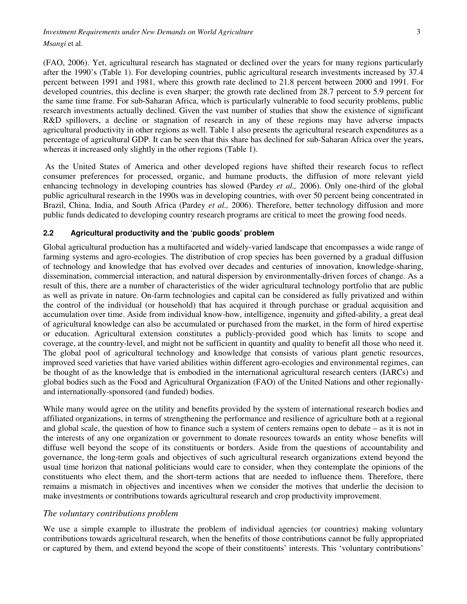*Investment Requirements under New Demands on World Agriculture*  $\frac{3}{2}$ *Msangi* et al.

(FAO, 2006). Yet, agricultural research has stagnated or declined over the years for many regions particularly after the 1990's (Table 1). For developing countries, public agricultural research investments increased by 37.4 percent between 1991 and 1981, where this growth rate declined to 21.8 percent between 2000 and 1991. For developed countries, this decline is even sharper; the growth rate declined from 28.7 percent to 5.9 percent for the same time frame. For sub-Saharan Africa, which is particularly vulnerable to food security problems, public research investments actually declined. Given the vast number of studies that show the existence of significant R&D spillovers, a decline or stagnation of research in any of these regions may have adverse impacts agricultural productivity in other regions as well. Table 1 also presents the agricultural research expenditures as a percentage of agricultural GDP. It can be seen that this share has declined for sub-Saharan Africa over the years, whereas it increased only slightly in the other regions (Table 1).

 As the United States of America and other developed regions have shifted their research focus to reflect consumer preferences for processed, organic, and humane products, the diffusion of more relevant yield enhancing technology in developing countries has slowed (Pardey *et al.,* 2006). Only one-third of the global public agricultural research in the 1990s was in developing countries, with over 50 percent being concentrated in Brazil, China, India, and South Africa (Pardey *et al.,* 2006). Therefore, better technology diffusion and more public funds dedicated to developing country research programs are critical to meet the growing food needs.

### **2.2 Agricultural productivity and the 'public goods' problem**

Global agricultural production has a multifaceted and widely-varied landscape that encompasses a wide range of farming systems and agro-ecologies. The distribution of crop species has been governed by a gradual diffusion of technology and knowledge that has evolved over decades and centuries of innovation, knowledge-sharing, dissemination, commercial interaction, and natural dispersion by environmentally-driven forces of change. As a result of this, there are a number of characteristics of the wider agricultural technology portfolio that are public as well as private in nature. On-farm technologies and capital can be considered as fully privatized and within the control of the individual (or household) that has acquired it through purchase or gradual acquisition and accumulation over time. Aside from individual know-how, intelligence, ingenuity and gifted-ability, a great deal of agricultural knowledge can also be accumulated or purchased from the market, in the form of hired expertise or education. Agricultural extension constitutes a publicly-provided good which has limits to scope and coverage, at the country-level, and might not be sufficient in quantity and quality to benefit all those who need it. The global pool of agricultural technology and knowledge that consists of various plant genetic resources, improved seed varieties that have varied abilities within different agro-ecologies and environmental regimes, can be thought of as the knowledge that is embodied in the international agricultural research centers (IARCs) and global bodies such as the Food and Agricultural Organization (FAO) of the United Nations and other regionallyand internationally-sponsored (and funded) bodies.

While many would agree on the utility and benefits provided by the system of international research bodies and affiliated organizations, in terms of strengthening the performance and resilience of agriculture both at a regional and global scale, the question of how to finance such a system of centers remains open to debate – as it is not in the interests of any one organization or government to donate resources towards an entity whose benefits will diffuse well beyond the scope of its constituents or borders. Aside from the questions of accountability and governance, the long-term goals and objectives of such agricultural research organizations extend beyond the usual time horizon that national politicians would care to consider, when they contemplate the opinions of the constituents who elect them, and the short-term actions that are needed to influence them. Therefore, there remains a mismatch in objectives and incentives when we consider the motives that underlie the decision to make investments or contributions towards agricultural research and crop productivity improvement.

#### *The voluntary contributions problem*

We use a simple example to illustrate the problem of individual agencies (or countries) making voluntary contributions towards agricultural research, when the benefits of those contributions cannot be fully appropriated or captured by them, and extend beyond the scope of their constituents' interests. This 'voluntary contributions'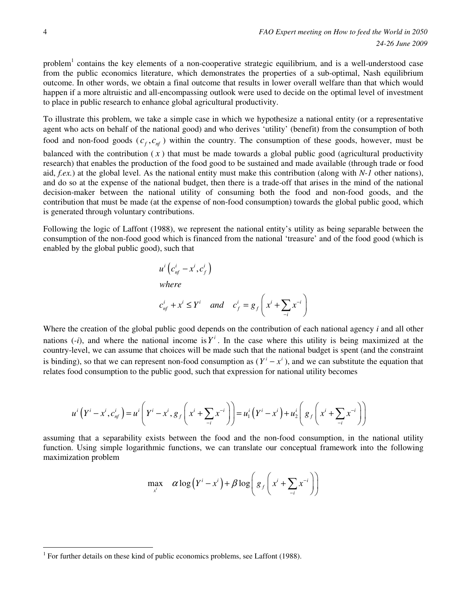problem<sup>1</sup> contains the key elements of a non-cooperative strategic equilibrium, and is a well-understood case from the public economics literature, which demonstrates the properties of a sub-optimal, Nash equilibrium outcome. In other words, we obtain a final outcome that results in lower overall welfare than that which would happen if a more altruistic and all-encompassing outlook were used to decide on the optimal level of investment to place in public research to enhance global agricultural productivity.

To illustrate this problem, we take a simple case in which we hypothesize a national entity (or a representative agent who acts on behalf of the national good) and who derives 'utility' (benefit) from the consumption of both food and non-food goods  $(c_f, c_{nf})$  within the country. The consumption of these goods, however, must be balanced with the contribution  $(x)$  that must be made towards a global public good (agricultural productivity research) that enables the production of the food good to be sustained and made available (through trade or food aid, *f.ex.*) at the global level. As the national entity must make this contribution (along with *N-1* other nations), and do so at the expense of the national budget, then there is a trade-off that arises in the mind of the national decision-maker between the national utility of consuming both the food and non-food goods, and the contribution that must be made (at the expense of non-food consumption) towards the global public good, which is generated through voluntary contributions.

Following the logic of Laffont (1988), we represent the national entity's utility as being separable between the consumption of the non-food good which is financed from the national 'treasure' and of the food good (which is enabled by the global public good), such that

$$
u^{i} (c_{nf}^{i} - x^{i}, c_{f}^{i})
$$
  
where  

$$
c_{nf}^{i} + x^{i} \leq Y^{i} \quad and \quad c_{f}^{i} = g_{f} \left( x^{i} + \sum_{i} x^{i} \right)
$$

Where the creation of the global public good depends on the contribution of each national agency *i* and all other nations  $(-i)$ , and where the national income is  $Y^i$ . In the case where this utility is being maximized at the country-level, we can assume that choices will be made such that the national budget is spent (and the constraint is binding), so that we can represent non-food consumption as  $(Y^{i} - x^{i})$ , and we can substitute the equation that relates food consumption to the public good, such that expression for national utility becomes

$$
u^{i}\left(Y^{i}-x^{i},c_{nf}^{i}\right)=u^{i}\left(Y^{i}-x^{i},g_{f}\left(x^{i}+\sum_{i}x^{i}\right)\right)=u_{1}^{i}\left(Y^{i}-x^{i}\right)+u_{2}^{i}\left(g_{f}\left(x^{i}+\sum_{i}x^{i}\right)\right)
$$

assuming that a separability exists between the food and the non-food consumption, in the national utility function. Using simple logarithmic functions, we can translate our conceptual framework into the following maximization problem

$$
\max_{x^i} \quad \alpha \log \left(Y^i - x^i\right) + \beta \log \left(s_f\left(x^i + \sum_{i} x^{i} \right)\right)
$$

 $\overline{a}$ 

<sup>&</sup>lt;sup>1</sup> For further details on these kind of public economics problems, see Laffont (1988).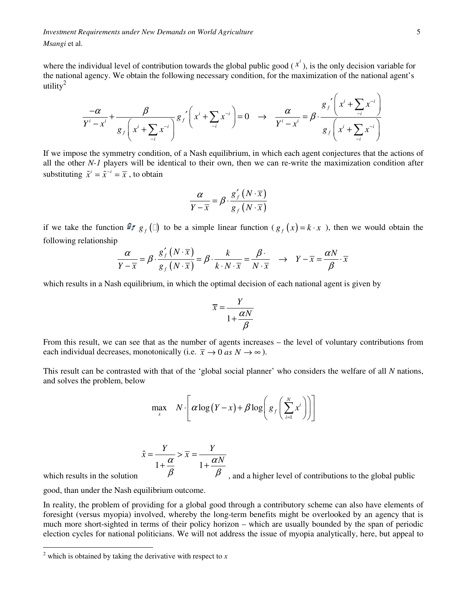*Investment Requirements under New Demands on World Agriculture* 5 *Msangi* et al.

where the individual level of contribution towards the global public good  $(x^i)$ , is the only decision variable for the national agency. We obtain the following necessary condition, for the maximization of the national agent's utility $^2$ 

$$
\frac{-\alpha}{Y^i - x^i} + \frac{\beta}{g_f\left(x^i + \sum_{i} x^{-i}\right)} g_f'\left(x^i + \sum_{i} x^{-i}\right) = 0 \quad \to \quad \frac{\alpha}{Y^i - x^i} = \beta \cdot \frac{g_f'\left(x^i + \sum_{i} x^{-i}\right)}{g_f\left(x^i + \sum_{i} x^{-i}\right)}
$$

If we impose the symmetry condition, of a Nash equilibrium, in which each agent conjectures that the actions of all the other *N-1* players will be identical to their own, then we can re-write the maximization condition after substituting  $\tilde{x}^i = \tilde{x}^{-i} = \overline{x}$ , to obtain

$$
\frac{\alpha}{Y-\overline{x}} = \beta \cdot \frac{g'_f(N \cdot \overline{x})}{g_f(N \cdot \overline{x})}
$$

if we take the function  $g_f$  () to be a simple linear function ( $g_f(x) = k \cdot x$ ), then we would obtain the following relationship

$$
\frac{\alpha}{Y-\overline{x}} = \beta \cdot \frac{g'_f(N \cdot \overline{x})}{g_f(N \cdot \overline{x})} = \beta \cdot \frac{k}{k \cdot N \cdot \overline{x}} = \frac{\beta}{N \cdot \overline{x}} \quad \rightarrow \quad Y - \overline{x} = \frac{\alpha N}{\beta} \cdot \overline{x}
$$

which results in a Nash equilibrium, in which the optimal decision of each national agent is given by

$$
\overline{x} = \frac{Y}{1 + \frac{\alpha N}{\beta}}
$$

From this result, we can see that as the number of agents increases – the level of voluntary contributions from each individual decreases, monotonically (i.e.  $\bar{x} \to 0$  *as*  $N \to \infty$ ).

This result can be contrasted with that of the 'global social planner' who considers the welfare of all *N* nations, and solves the problem, below

$$
\max_{x} N \cdot \left[ \alpha \log(Y-x) + \beta \log \left( g_f \left( \sum_{i=1}^{N} x^{i} \right) \right) \right]
$$

$$
\hat{x} = \frac{Y}{1 + \frac{\alpha}{\beta}} > \overline{x} = \frac{Y}{1 + \frac{\alpha N}{\beta}}
$$
, and a higher level of contributions to the global public

which results in the solution

good, than under the Nash equilibrium outcome.

In reality, the problem of providing for a global good through a contributory scheme can also have elements of foresight (versus myopia) involved, whereby the long-term benefits might be overlooked by an agency that is much more short-sighted in terms of their policy horizon – which are usually bounded by the span of periodic election cycles for national politicians. We will not address the issue of myopia analytically, here, but appeal to

 2 which is obtained by taking the derivative with respect to *x*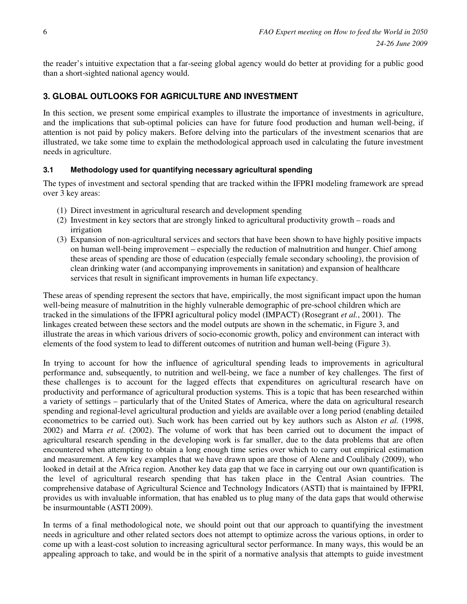the reader's intuitive expectation that a far-seeing global agency would do better at providing for a public good than a short-sighted national agency would.

## **3. GLOBAL OUTLOOKS FOR AGRICULTURE AND INVESTMENT**

In this section, we present some empirical examples to illustrate the importance of investments in agriculture, and the implications that sub-optimal policies can have for future food production and human well-being, if attention is not paid by policy makers. Before delving into the particulars of the investment scenarios that are illustrated, we take some time to explain the methodological approach used in calculating the future investment needs in agriculture.

### **3.1 Methodology used for quantifying necessary agricultural spending**

The types of investment and sectoral spending that are tracked within the IFPRI modeling framework are spread over 3 key areas:

- (1) Direct investment in agricultural research and development spending
- (2) Investment in key sectors that are strongly linked to agricultural productivity growth roads and irrigation
- (3) Expansion of non-agricultural services and sectors that have been shown to have highly positive impacts on human well-being improvement – especially the reduction of malnutrition and hunger. Chief among these areas of spending are those of education (especially female secondary schooling), the provision of clean drinking water (and accompanying improvements in sanitation) and expansion of healthcare services that result in significant improvements in human life expectancy.

These areas of spending represent the sectors that have, empirically, the most significant impact upon the human well-being measure of malnutrition in the highly vulnerable demographic of pre-school children which are tracked in the simulations of the IFPRI agricultural policy model (IMPACT) (Rosegrant *et al.*, 2001). The linkages created between these sectors and the model outputs are shown in the schematic, in Figure 3, and illustrate the areas in which various drivers of socio-economic growth, policy and environment can interact with elements of the food system to lead to different outcomes of nutrition and human well-being (Figure 3).

In trying to account for how the influence of agricultural spending leads to improvements in agricultural performance and, subsequently, to nutrition and well-being, we face a number of key challenges. The first of these challenges is to account for the lagged effects that expenditures on agricultural research have on productivity and performance of agricultural production systems. This is a topic that has been researched within a variety of settings – particularly that of the United States of America, where the data on agricultural research spending and regional-level agricultural production and yields are available over a long period (enabling detailed econometrics to be carried out). Such work has been carried out by key authors such as Alston *et al.* (1998, 2002) and Marra *et al.* (2002). The volume of work that has been carried out to document the impact of agricultural research spending in the developing work is far smaller, due to the data problems that are often encountered when attempting to obtain a long enough time series over which to carry out empirical estimation and measurement. A few key examples that we have drawn upon are those of Alene and Coulibaly (2009), who looked in detail at the Africa region. Another key data gap that we face in carrying out our own quantification is the level of agricultural research spending that has taken place in the Central Asian countries. The comprehensive database of Agricultural Science and Technology Indicators (ASTI) that is maintained by IFPRI, provides us with invaluable information, that has enabled us to plug many of the data gaps that would otherwise be insurmountable (ASTI 2009).

In terms of a final methodological note, we should point out that our approach to quantifying the investment needs in agriculture and other related sectors does not attempt to optimize across the various options, in order to come up with a least-cost solution to increasing agricultural sector performance. In many ways, this would be an appealing approach to take, and would be in the spirit of a normative analysis that attempts to guide investment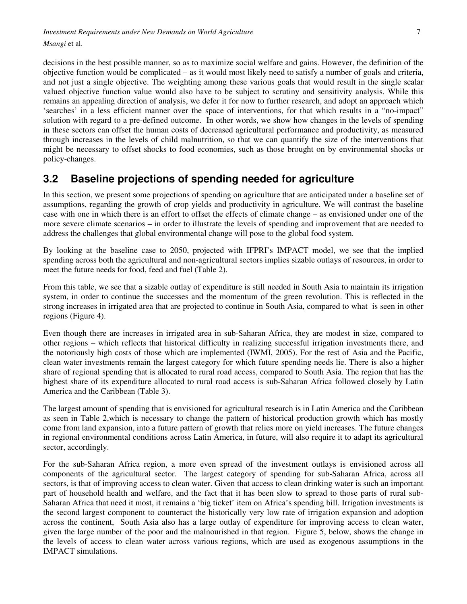decisions in the best possible manner, so as to maximize social welfare and gains. However, the definition of the objective function would be complicated – as it would most likely need to satisfy a number of goals and criteria, and not just a single objective. The weighting among these various goals that would result in the single scalar valued objective function value would also have to be subject to scrutiny and sensitivity analysis. While this remains an appealing direction of analysis, we defer it for now to further research, and adopt an approach which 'searches' in a less efficient manner over the space of interventions, for that which results in a "no-impact" solution with regard to a pre-defined outcome. In other words, we show how changes in the levels of spending in these sectors can offset the human costs of decreased agricultural performance and productivity, as measured through increases in the levels of child malnutrition, so that we can quantify the size of the interventions that might be necessary to offset shocks to food economies, such as those brought on by environmental shocks or policy-changes.

# **3.2 Baseline projections of spending needed for agriculture**

In this section, we present some projections of spending on agriculture that are anticipated under a baseline set of assumptions, regarding the growth of crop yields and productivity in agriculture. We will contrast the baseline case with one in which there is an effort to offset the effects of climate change – as envisioned under one of the more severe climate scenarios – in order to illustrate the levels of spending and improvement that are needed to address the challenges that global environmental change will pose to the global food system.

By looking at the baseline case to 2050, projected with IFPRI's IMPACT model, we see that the implied spending across both the agricultural and non-agricultural sectors implies sizable outlays of resources, in order to meet the future needs for food, feed and fuel (Table 2).

From this table, we see that a sizable outlay of expenditure is still needed in South Asia to maintain its irrigation system, in order to continue the successes and the momentum of the green revolution. This is reflected in the strong increases in irrigated area that are projected to continue in South Asia, compared to what is seen in other regions (Figure 4).

Even though there are increases in irrigated area in sub-Saharan Africa, they are modest in size, compared to other regions – which reflects that historical difficulty in realizing successful irrigation investments there, and the notoriously high costs of those which are implemented (IWMI, 2005). For the rest of Asia and the Pacific, clean water investments remain the largest category for which future spending needs lie. There is also a higher share of regional spending that is allocated to rural road access, compared to South Asia. The region that has the highest share of its expenditure allocated to rural road access is sub-Saharan Africa followed closely by Latin America and the Caribbean (Table 3).

The largest amount of spending that is envisioned for agricultural research is in Latin America and the Caribbean as seen in Table 2,which is necessary to change the pattern of historical production growth which has mostly come from land expansion, into a future pattern of growth that relies more on yield increases. The future changes in regional environmental conditions across Latin America, in future, will also require it to adapt its agricultural sector, accordingly.

For the sub-Saharan Africa region, a more even spread of the investment outlays is envisioned across all components of the agricultural sector. The largest category of spending for sub-Saharan Africa, across all sectors, is that of improving access to clean water. Given that access to clean drinking water is such an important part of household health and welfare, and the fact that it has been slow to spread to those parts of rural sub-Saharan Africa that need it most, it remains a 'big ticket' item on Africa's spending bill. Irrigation investments is the second largest component to counteract the historically very low rate of irrigation expansion and adoption across the continent, South Asia also has a large outlay of expenditure for improving access to clean water, given the large number of the poor and the malnourished in that region. Figure 5, below, shows the change in the levels of access to clean water across various regions, which are used as exogenous assumptions in the IMPACT simulations.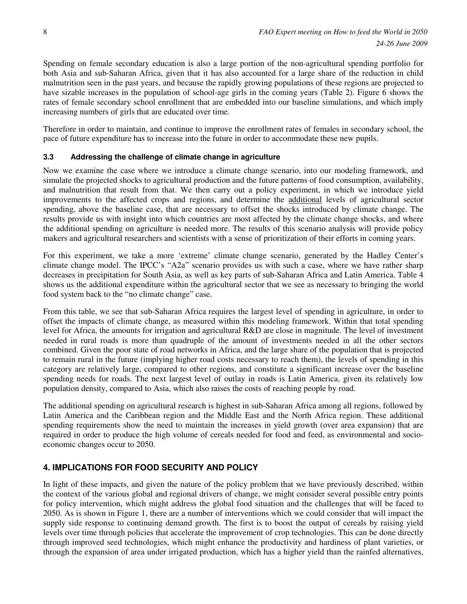Spending on female secondary education is also a large portion of the non-agricultural spending portfolio for both Asia and sub-Saharan Africa, given that it has also accounted for a large share of the reduction in child malnutrition seen in the past years, and because the rapidly growing populations of these regions are projected to have sizable increases in the population of school-age girls in the coming years (Table 2). Figure 6 shows the rates of female secondary school enrollment that are embedded into our baseline simulations, and which imply increasing numbers of girls that are educated over time.

Therefore in order to maintain, and continue to improve the enrollment rates of females in secondary school, the pace of future expenditure has to increase into the future in order to accommodate these new pupils.

## **3.3 Addressing the challenge of climate change in agriculture**

Now we examine the case where we introduce a climate change scenario, into our modeling framework, and simulate the projected shocks to agricultural production and the future patterns of food consumption, availability, and malnutrition that result from that. We then carry out a policy experiment, in which we introduce yield improvements to the affected crops and regions, and determine the additional levels of agricultural sector spending, above the baseline case, that are necessary to offset the shocks introduced by climate change. The results provide us with insight into which countries are most affected by the climate change shocks, and where the additional spending on agriculture is needed more. The results of this scenario analysis will provide policy makers and agricultural researchers and scientists with a sense of prioritization of their efforts in coming years.

For this experiment, we take a more 'extreme' climate change scenario, generated by the Hadley Center's climate change model. The IPCC's "A2a" scenario provides us with such a case, where we have rather sharp decreases in precipitation for South Asia, as well as key parts of sub-Saharan Africa and Latin America. Table 4 shows us the additional expenditure within the agricultural sector that we see as necessary to bringing the world food system back to the "no climate change" case.

From this table, we see that sub-Saharan Africa requires the largest level of spending in agriculture, in order to offset the impacts of climate change, as measured within this modeling framework. Within that total spending level for Africa, the amounts for irrigation and agricultural R&D are close in magnitude. The level of investment needed in rural roads is more than quadruple of the amount of investments needed in all the other sectors combined. Given the poor state of road networks in Africa, and the large share of the population that is projected to remain rural in the future (implying higher road costs necessary to reach them), the levels of spending in this category are relatively large, compared to other regions, and constitute a significant increase over the baseline spending needs for roads. The next largest level of outlay in roads is Latin America, given its relatively low population density, compared to Asia, which also raises the costs of reaching people by road.

The additional spending on agricultural research is highest in sub-Saharan Africa among all regions, followed by Latin America and the Caribbean region and the Middle East and the North Africa region. These additional spending requirements show the need to maintain the increases in yield growth (over area expansion) that are required in order to produce the high volume of cereals needed for food and feed, as environmental and socioeconomic changes occur to 2050.

## **4. IMPLICATIONS FOR FOOD SECURITY AND POLICY**

In light of these impacts, and given the nature of the policy problem that we have previously described, within the context of the various global and regional drivers of change, we might consider several possible entry points for policy intervention, which might address the global food situation and the challenges that will be faced to 2050. As is shown in Figure 1, there are a number of interventions which we could consider that will impact the supply side response to continuing demand growth. The first is to boost the output of cereals by raising yield levels over time through policies that accelerate the improvement of crop technologies. This can be done directly through improved seed technologies, which might enhance the productivity and hardiness of plant varieties, or through the expansion of area under irrigated production, which has a higher yield than the rainfed alternatives,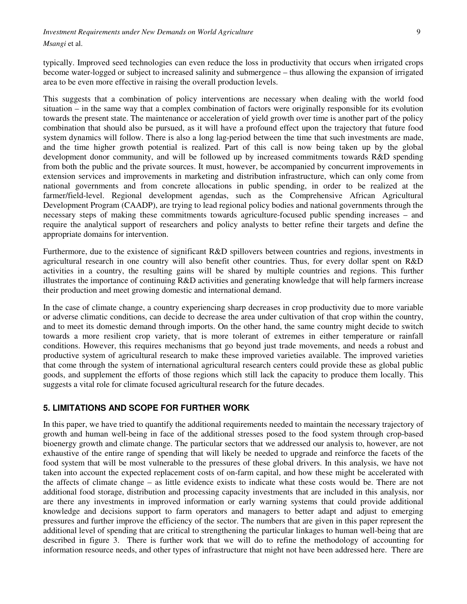# *Investment Requirements under New Demands on World Agriculture* 9

*Msangi* et al.

typically. Improved seed technologies can even reduce the loss in productivity that occurs when irrigated crops become water-logged or subject to increased salinity and submergence – thus allowing the expansion of irrigated area to be even more effective in raising the overall production levels.

This suggests that a combination of policy interventions are necessary when dealing with the world food situation – in the same way that a complex combination of factors were originally responsible for its evolution towards the present state. The maintenance or acceleration of yield growth over time is another part of the policy combination that should also be pursued, as it will have a profound effect upon the trajectory that future food system dynamics will follow. There is also a long lag-period between the time that such investments are made, and the time higher growth potential is realized. Part of this call is now being taken up by the global development donor community, and will be followed up by increased commitments towards R&D spending from both the public and the private sources. It must, however, be accompanied by concurrent improvements in extension services and improvements in marketing and distribution infrastructure, which can only come from national governments and from concrete allocations in public spending, in order to be realized at the farmer/field-level. Regional development agendas, such as the Comprehensive African Agricultural Development Program (CAADP), are trying to lead regional policy bodies and national governments through the necessary steps of making these commitments towards agriculture-focused public spending increases – and require the analytical support of researchers and policy analysts to better refine their targets and define the appropriate domains for intervention.

Furthermore, due to the existence of significant R&D spillovers between countries and regions, investments in agricultural research in one country will also benefit other countries. Thus, for every dollar spent on R&D activities in a country, the resulting gains will be shared by multiple countries and regions. This further illustrates the importance of continuing R&D activities and generating knowledge that will help farmers increase their production and meet growing domestic and international demand.

In the case of climate change, a country experiencing sharp decreases in crop productivity due to more variable or adverse climatic conditions, can decide to decrease the area under cultivation of that crop within the country, and to meet its domestic demand through imports. On the other hand, the same country might decide to switch towards a more resilient crop variety, that is more tolerant of extremes in either temperature or rainfall conditions. However, this requires mechanisms that go beyond just trade movements, and needs a robust and productive system of agricultural research to make these improved varieties available. The improved varieties that come through the system of international agricultural research centers could provide these as global public goods, and supplement the efforts of those regions which still lack the capacity to produce them locally. This suggests a vital role for climate focused agricultural research for the future decades.

### **5. LIMITATIONS AND SCOPE FOR FURTHER WORK**

In this paper, we have tried to quantify the additional requirements needed to maintain the necessary trajectory of growth and human well-being in face of the additional stresses posed to the food system through crop-based bioenergy growth and climate change. The particular sectors that we addressed our analysis to, however, are not exhaustive of the entire range of spending that will likely be needed to upgrade and reinforce the facets of the food system that will be most vulnerable to the pressures of these global drivers. In this analysis, we have not taken into account the expected replacement costs of on-farm capital, and how these might be accelerated with the affects of climate change – as little evidence exists to indicate what these costs would be. There are not additional food storage, distribution and processing capacity investments that are included in this analysis, nor are there any investments in improved information or early warning systems that could provide additional knowledge and decisions support to farm operators and managers to better adapt and adjust to emerging pressures and further improve the efficiency of the sector. The numbers that are given in this paper represent the additional level of spending that are critical to strengthening the particular linkages to human well-being that are described in figure 3. There is further work that we will do to refine the methodology of accounting for information resource needs, and other types of infrastructure that might not have been addressed here. There are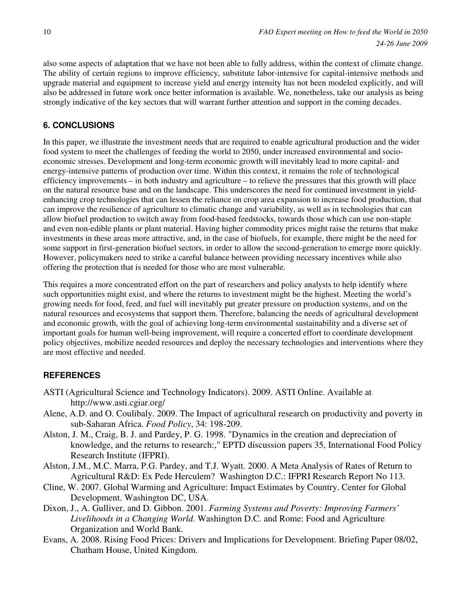also some aspects of adaptation that we have not been able to fully address, within the context of climate change. The ability of certain regions to improve efficiency, substitute labor-intensive for capital-intensive methods and upgrade material and equipment to increase yield and energy intensity has not been modeled explicitly, and will also be addressed in future work once better information is available. We, nonetheless, take our analysis as being strongly indicative of the key sectors that will warrant further attention and support in the coming decades.

## **6. CONCLUSIONS**

In this paper, we illustrate the investment needs that are required to enable agricultural production and the wider food system to meet the challenges of feeding the world to 2050, under increased environmental and socioeconomic stresses. Development and long-term economic growth will inevitably lead to more capital- and energy-intensive patterns of production over time. Within this context, it remains the role of technological efficiency improvements – in both industry and agriculture – to relieve the pressures that this growth will place on the natural resource base and on the landscape. This underscores the need for continued investment in yieldenhancing crop technologies that can lessen the reliance on crop area expansion to increase food production, that can improve the resilience of agriculture to climatic change and variability, as well as in technologies that can allow biofuel production to switch away from food-based feedstocks, towards those which can use non-staple and even non-edible plants or plant material. Having higher commodity prices might raise the returns that make investments in these areas more attractive, and, in the case of biofuels, for example, there might be the need for some support in first-generation biofuel sectors, in order to allow the second-generation to emerge more quickly. However, policymakers need to strike a careful balance between providing necessary incentives while also offering the protection that is needed for those who are most vulnerable.

This requires a more concentrated effort on the part of researchers and policy analysts to help identify where such opportunities might exist, and where the returns to investment might be the highest. Meeting the world's growing needs for food, feed, and fuel will inevitably put greater pressure on production systems, and on the natural resources and ecosystems that support them. Therefore, balancing the needs of agricultural development and economic growth, with the goal of achieving long-term environmental sustainability and a diverse set of important goals for human well-being improvement, will require a concerted effort to coordinate development policy objectives, mobilize needed resources and deploy the necessary technologies and interventions where they are most effective and needed.

## **REFERENCES**

- ASTI (Agricultural Science and Technology Indicators). 2009. ASTI Online. Available at http://www.asti.cgiar.org/
- Alene, A.D. and O. Coulibaly. 2009. The Impact of agricultural research on productivity and poverty in sub-Saharan Africa. *Food Policy*, 34: 198-209.
- Alston, J. M., Craig, B. J. and Pardey, P. G. 1998. "Dynamics in the creation and depreciation of knowledge, and the returns to research:," EPTD discussion papers 35, International Food Policy Research Institute (IFPRI).
- Alston, J.M., M.C. Marra, P.G. Pardey, and T.J. Wyatt. 2000. A Meta Analysis of Rates of Return to Agricultural R&D: Ex Pede Herculem? Washington D.C.: IFPRI Research Report No 113.
- Cline, W. 2007. Global Warming and Agriculture: Impact Estimates by Country. Center for Global Development. Washington DC, USA.
- Dixon, J., A. Gulliver, and D. Gibbon. 2001. *Farming Systems and Poverty: Improving Farmers' Livelihoods in a Changing World.* Washington D.C. and Rome: Food and Agriculture Organization and World Bank.
- Evans, A. 2008. Rising Food Prices: Drivers and Implications for Development. Briefing Paper 08/02, Chatham House, United Kingdom.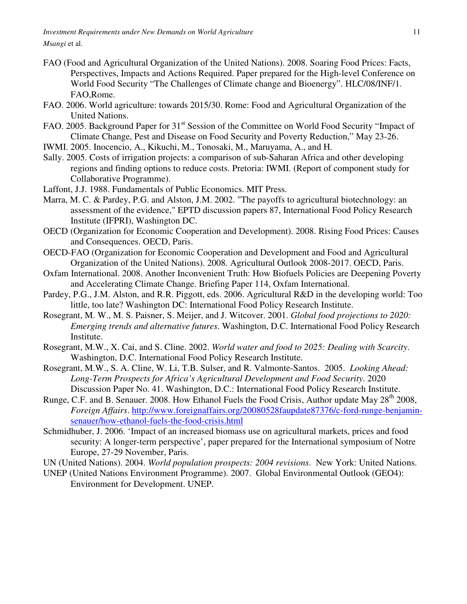- FAO (Food and Agricultural Organization of the United Nations). 2008. Soaring Food Prices: Facts, Perspectives, Impacts and Actions Required. Paper prepared for the High-level Conference on World Food Security "The Challenges of Climate change and Bioenergy". HLC/08/INF/1. FAO,Rome.
- FAO. 2006. World agriculture: towards 2015/30. Rome: Food and Agricultural Organization of the United Nations.
- FAO. 2005. Background Paper for 31<sup>st</sup> Session of the Committee on World Food Security "Impact of Climate Change, Pest and Disease on Food Security and Poverty Reduction," May 23-26.
- IWMI. 2005. Inocencio, A., Kikuchi, M., Tonosaki, M., Maruyama, A., and H.
- Sally. 2005. Costs of irrigation projects: a comparison of sub-Saharan Africa and other developing regions and finding options to reduce costs. Pretoria: IWMI. (Report of component study for Collaborative Programme).
- Laffont, J.J. 1988. Fundamentals of Public Economics. MIT Press.
- Marra, M. C. & Pardey, P.G. and Alston, J.M. 2002. "The payoffs to agricultural biotechnology: an assessment of the evidence," EPTD discussion papers 87, International Food Policy Research Institute (IFPRI), Washington DC.
- OECD (Organization for Economic Cooperation and Development). 2008. Rising Food Prices: Causes and Consequences. OECD, Paris.
- OECD-FAO (Organization for Economic Cooperation and Development and Food and Agricultural Organization of the United Nations). 2008. Agricultural Outlook 2008-2017. OECD, Paris.
- Oxfam International. 2008. Another Inconvenient Truth: How Biofuels Policies are Deepening Poverty and Accelerating Climate Change. Briefing Paper 114, Oxfam International.
- Pardey, P.G., J.M. Alston, and R.R. Piggott, eds. 2006. Agricultural R&D in the developing world: Too little, too late? Washington DC: International Food Policy Research Institute.
- Rosegrant, M. W., M. S. Paisner, S. Meijer, and J. Witcover. 2001. *Global food projections to 2020: Emerging trends and alternative futures*. Washington, D.C. International Food Policy Research Institute.
- Rosegrant, M.W., X. Cai, and S. Cline. 2002. *World water and food to 2025: Dealing with Scarcity*. Washington, D.C. International Food Policy Research Institute.
- Rosegrant, M.W., S. A. Cline, W. Li, T.B. Sulser, and R. Valmonte-Santos. 2005. *Looking Ahead: Long-Term Prospects for Africa's Agricultural Development and Food Security*. 2020 Discussion Paper No. 41. Washington, D.C.: International Food Policy Research Institute.
- Runge, C.F. and B. Senauer. 2008. How Ethanol Fuels the Food Crisis, Author update May 28<sup>th</sup> 2008, *Foreign Affairs*. http://www.foreignaffairs.org/20080528faupdate87376/c-ford-runge-benjaminsenauer/how-ethanol-fuels-the-food-crisis.html
- Schmidhuber, J. 2006. 'Impact of an increased biomass use on agricultural markets, prices and food security: A longer-term perspective', paper prepared for the International symposium of Notre Europe, 27-29 November, Paris.
- UN (United Nations). 2004. *World population prospects: 2004 revisions*. New York: United Nations.
- UNEP (United Nations Environment Programme). 2007. Global Environmental Outlook (GEO4): Environment for Development. UNEP.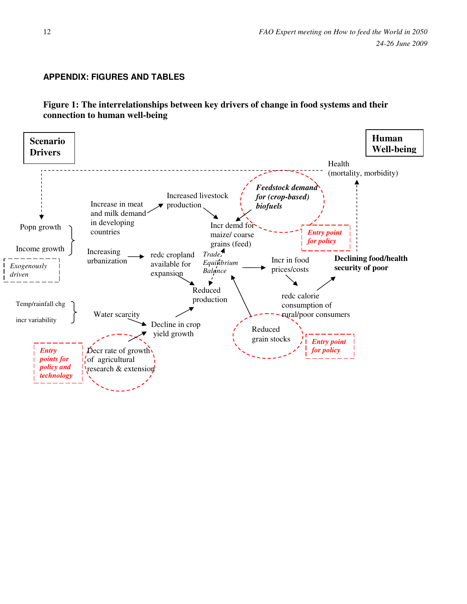## **APPENDIX: FIGURES AND TABLES**

**Figure 1: The interrelationships between key drivers of change in food systems and their connection to human well-being** 

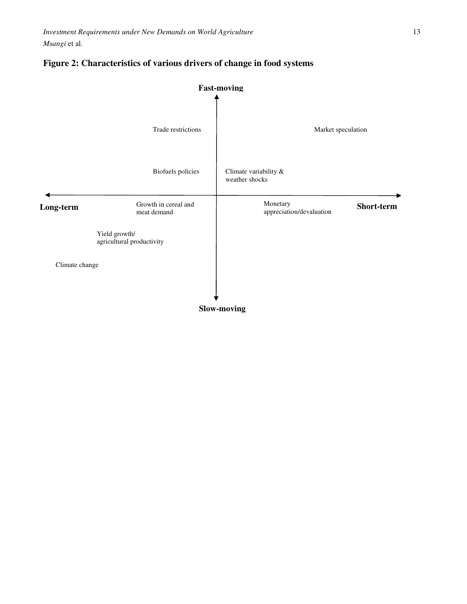

## **Figure 2: Characteristics of various drivers of change in food systems**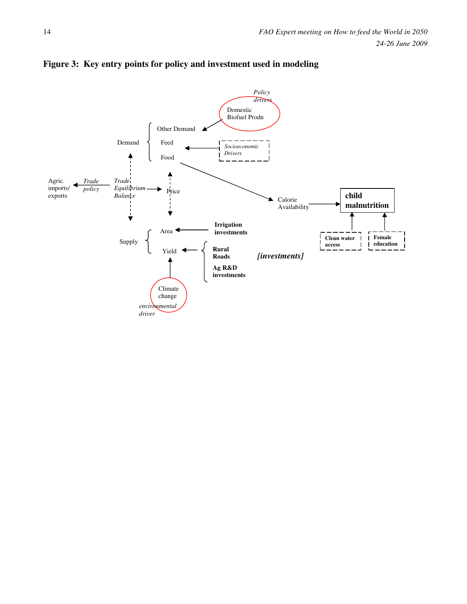

## **Figure 3: Key entry points for policy and investment used in modeling**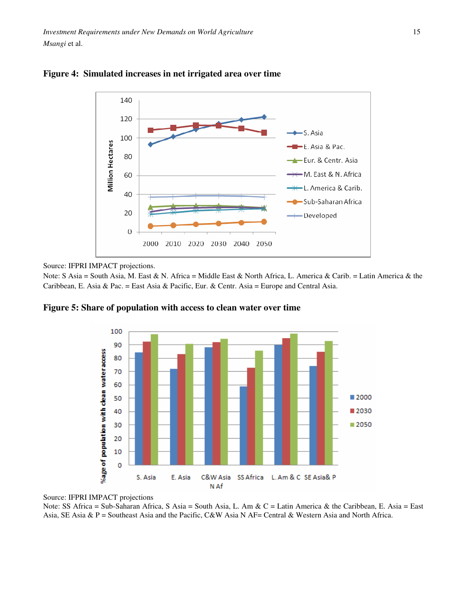



Source: IFPRI IMPACT projections.

Note: S Asia = South Asia, M. East & N. Africa = Middle East & North Africa, L. America & Carib. = Latin America & the Caribbean, E. Asia & Pac. = East Asia & Pacific, Eur. & Centr. Asia = Europe and Central Asia.



**Figure 5: Share of population with access to clean water over time** 

Source: IFPRI IMPACT projections

Note: SS Africa = Sub-Saharan Africa, S Asia = South Asia, L. Am & C = Latin America & the Caribbean, E. Asia = East Asia, SE Asia & P = Southeast Asia and the Pacific, C&W Asia N AF= Central & Western Asia and North Africa.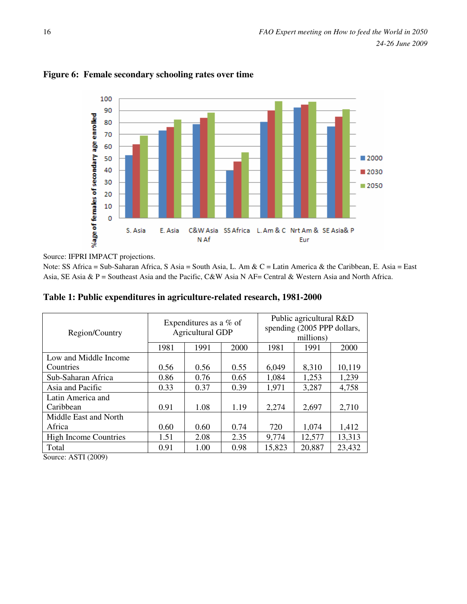

## **Figure 6: Female secondary schooling rates over time**

Source: IFPRI IMPACT projections.

Note: SS Africa = Sub-Saharan Africa, S Asia = South Asia, L. Am & C = Latin America & the Caribbean, E. Asia = East Asia, SE Asia & P = Southeast Asia and the Pacific, C&W Asia N AF= Central & Western Asia and North Africa.

|  |  | Table 1: Public expenditures in agriculture-related research, 1981-2000 |
|--|--|-------------------------------------------------------------------------|
|  |  |                                                                         |

| Region/Country               | Expenditures as a % of<br><b>Agricultural GDP</b> |      |      | Public agricultural R&D<br>spending (2005 PPP dollars,<br>millions) |        |        |
|------------------------------|---------------------------------------------------|------|------|---------------------------------------------------------------------|--------|--------|
|                              | 1981                                              | 1991 | 2000 | 1981                                                                | 1991   | 2000   |
| Low and Middle Income        |                                                   |      |      |                                                                     |        |        |
| Countries                    | 0.56                                              | 0.56 | 0.55 | 6,049                                                               | 8,310  | 10,119 |
| Sub-Saharan Africa           | 0.86                                              | 0.76 | 0.65 | 1,084                                                               | 1,253  | 1,239  |
| Asia and Pacific             | 0.33                                              | 0.37 | 0.39 | 1,971                                                               | 3,287  | 4,758  |
| Latin America and            |                                                   |      |      |                                                                     |        |        |
| Caribbean                    | 0.91                                              | 1.08 | 1.19 | 2,274                                                               | 2,697  | 2,710  |
| Middle East and North        |                                                   |      |      |                                                                     |        |        |
| Africa                       | 0.60                                              | 0.60 | 0.74 | 720                                                                 | 1,074  | 1,412  |
| <b>High Income Countries</b> | 1.51                                              | 2.08 | 2.35 | 9,774                                                               | 12,577 | 13,313 |
| Total                        | 0.91                                              | 1.00 | 0.98 | 15,823                                                              | 20,887 | 23,432 |

Source: ASTI (2009)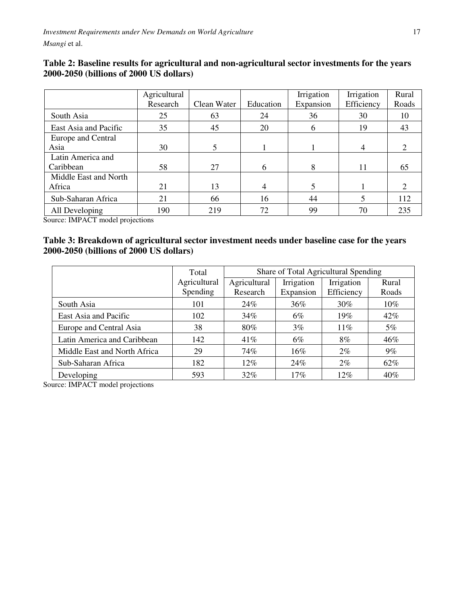|                       | Agricultural |             |           | Irrigation | Irrigation | Rural |
|-----------------------|--------------|-------------|-----------|------------|------------|-------|
|                       | Research     | Clean Water | Education | Expansion  | Efficiency | Roads |
| South Asia            | 25           | 63          | 24        | 36         | 30         | 10    |
| East Asia and Pacific | 35           | 45          | 20        | 6          | 19         | 43    |
| Europe and Central    |              |             |           |            |            |       |
| Asia                  | 30           | 5           |           |            | 4          | 2     |
| Latin America and     |              |             |           |            |            |       |
| Caribbean             | 58           | 27          | 6         | 8          | 11         | 65    |
| Middle East and North |              |             |           |            |            |       |
| Africa                | 21           | 13          | 4         | 5          |            | 2     |
| Sub-Saharan Africa    | 21           | 66          | 16        | 44         |            | 112   |
| All Developing        | 190          | 219         | 72        | 99         | 70         | 235   |

## **Table 2: Baseline results for agricultural and non-agricultural sector investments for the years 2000-2050 (billions of 2000 US dollars)**

Source: IMPACT model projections

## **Table 3: Breakdown of agricultural sector investment needs under baseline case for the years 2000-2050 (billions of 2000 US dollars)**

|                              | Total        |              | Share of Total Agricultural Spending |            |       |  |
|------------------------------|--------------|--------------|--------------------------------------|------------|-------|--|
|                              | Agricultural | Agricultural | Irrigation                           | Irrigation | Rural |  |
|                              | Spending     | Research     | Expansion                            | Efficiency | Roads |  |
| South Asia                   | 101          | 24%          | 36%                                  | $30\%$     | 10%   |  |
| East Asia and Pacific        | 102          | 34%          | $6\%$                                | 19%        | 42%   |  |
| Europe and Central Asia      | 38           | 80%          | $3\%$                                | 11%        | 5%    |  |
| Latin America and Caribbean  | 142          | 41%          | $6\%$                                | 8%         | 46%   |  |
| Middle East and North Africa | 29           | 74%          | 16%                                  | $2\%$      | 9%    |  |
| Sub-Saharan Africa           | 182          | 12%          | 24%                                  | $2\%$      | 62%   |  |
| Developing                   | 593          | 32%          | 17%                                  | 12%        | 40%   |  |

Source: IMPACT model projections